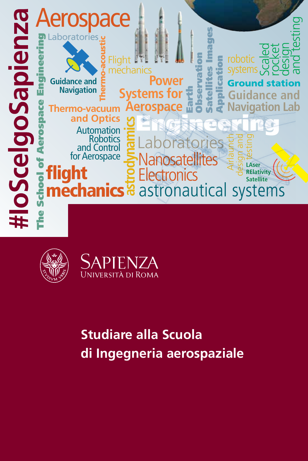





# **Studiare alla Scuola di Ingegneria aerospaziale**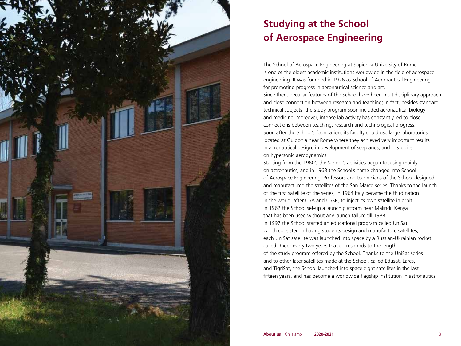

# **Studying at the School of Aerospace Engineering**

The School of Aerospace Engineering at Sapienza University of Rome is one of the oldest academic institutions worldwide in the field of aerospace engineering. It was founded in 1926 as School of Aeronautical Engineering for promoting progress in aeronautical science and art. Since then, peculiar features of the School have been multidisciplinary approach and close connection between research and teaching; in fact, besides standard technical subjects, the study program soon included aeronautical biology and medicine; moreover, intense lab activity has constantly led to close connections between teaching, research and technological progress. Soon after the School's foundation, its faculty could use large laboratories located at Guidonia near Rome where they achieved very important results in aeronautical design, in development of seaplanes, and in studies on hypersonic aerodynamics.

Starting from the 1960's the School's activities began focusing mainly on astronautics, and in 1963 the School's name changed into School of Aerospace Engineering. Professors and technicians of the School designed and manufactured the satellites of the San Marco series. Thanks to the launch of the first satellite of the series, in 1964 Italy became the third nation in the world, after USA and USSR, to inject its own satellite in orbit. In 1962 the School set-up a launch platform near Malindi, Kenya that has been used without any launch failure till 1988. In 1997 the School started an educational program called UniSat, which consisted in having students design and manufacture satellites; each UniSat satellite was launched into space by a Russian-Ukrainian rocket called Dnepr every two years that corresponds to the length of the study program offered by the School. Thanks to the UniSat series and to other later satellites made at the School, called Edusat, Lares, and TigriSat, the School launched into space eight satellites in the last fifteen years, and has become a worldwide flagship institution in astronautics.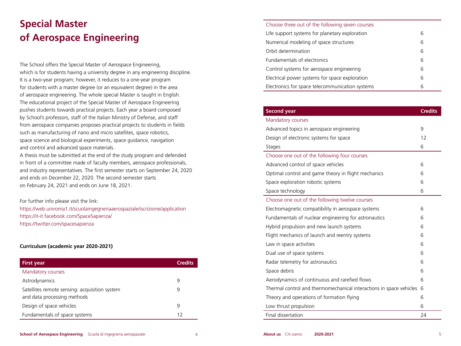# **Special Master of Aerospace Engineering**

The School offers the Special Master of Aerospace Engineering, which is for students having a university degree in any engineering discipline. It is a two-year program; however, it reduces to a one-year program for students with a master degree (or an equivalent degree) in the area of aerospace engineering. The whole special Master is taught in English. The educational project of the Special Master of Aerospace Engineering pushes students towards practical projects. Each year a board composed by School's professors, staff of the Italian Ministry of Defense, and staff from aerospace companies proposes practical projects to students in fields such as manufacturing of nano and micro satellites, space robotics, space science and biological experiments, space guidance, navigation and control and advanced space materials.

A thesis must be submitted at the end of the study program and defended in front of a committee made of faculty members, aerospace professionals, and industry representatives. The first semester starts on September 24, 2020 and ends on December 22, 2020. The second semester starts on February 24, 2021 and ends on June 18, 2021.

For further info please visit the link: https://web.uniroma1.it/scuolaingegneriaaerospaziale/iscrizione/application https://it-it.facebook.com/SpaceSapienza/ https://twitter.com/spacesapienza

#### **Curriculum (academic year 2020-2021)**

| <b>First year</b>                                                            | <b>Credits</b> |
|------------------------------------------------------------------------------|----------------|
| Mandatory courses                                                            |                |
| Astrodynamics                                                                | q              |
| Satellites remote sensing: acquisition system<br>and data processing methods | q              |
| Design of space vehicles                                                     | q              |
| Fundamentals of space systems                                                | 12             |

### Choose three out of the following seven courses Life support systems for planetary exploration 6

| Life support systems for planetary exploration  |   |  |  |
|-------------------------------------------------|---|--|--|
| Numerical modeling of space structures          |   |  |  |
| Orbit determination                             | 6 |  |  |
| Fundamentals of electronics                     | 6 |  |  |
| Control systems for aerospace engineering       | 6 |  |  |
| Electrical power systems for space exploration  | 6 |  |  |
| Electronics for space telecommunication systems | 6 |  |  |
|                                                 |   |  |  |

| 9<br>12<br>6<br>6<br>6<br>6<br>6<br>6<br>6<br>6<br>6<br>6<br>6<br>6<br>6<br>6<br>6<br>6<br>6<br>24 | <b>Second year</b>                                                  | <b>Credits</b> |
|----------------------------------------------------------------------------------------------------|---------------------------------------------------------------------|----------------|
|                                                                                                    | Mandatory courses                                                   |                |
|                                                                                                    | Advanced topics in aerospace engineering                            |                |
|                                                                                                    | Design of electronic systems for space                              |                |
|                                                                                                    | Stages                                                              |                |
|                                                                                                    | Choose one out of the following four courses                        |                |
|                                                                                                    | Advanced control of space vehicles                                  |                |
|                                                                                                    | Optimal control and game theory in flight mechanics                 |                |
|                                                                                                    | Space exploration robotic systems                                   |                |
|                                                                                                    | Space technology                                                    |                |
|                                                                                                    | Choose one out of the following twelve courses                      |                |
|                                                                                                    | Electromagnetic compatibility in aerospace systems                  |                |
|                                                                                                    | Fundamentals of nuclear engineering for astronautics                |                |
|                                                                                                    | Hybrid propulsion and new launch systems                            |                |
|                                                                                                    | Flight mechanics of launch and reentry systems                      |                |
|                                                                                                    | Law in space activities                                             |                |
|                                                                                                    | Dual use of space systems                                           |                |
|                                                                                                    | Radar telemetry for astronautics                                    |                |
|                                                                                                    | Space debris                                                        |                |
|                                                                                                    | Aerodynamics of continuous and rarefied flows                       |                |
|                                                                                                    | Thermal control and thermomechanical interactions in space vehicles |                |
|                                                                                                    | Theory and operations of formation flying                           |                |
|                                                                                                    | Low thrust propulsion                                               |                |
|                                                                                                    | Final dissertation                                                  |                |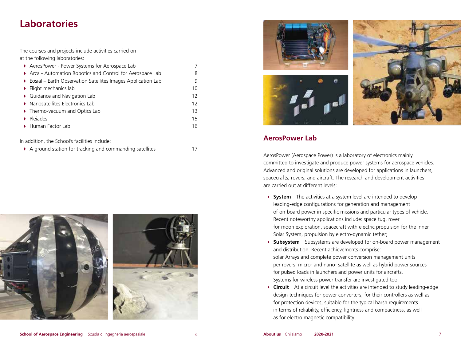# **Laboratories**

The courses and projects include activities carried on at the following laboratories:

| AerosPower - Power Systems for Aerospace Lab                                  |    |  |  |  |
|-------------------------------------------------------------------------------|----|--|--|--|
| Arca - Automation Robotics and Control for Aerospace Lab                      |    |  |  |  |
| $\triangleright$ Eosial – Earth Observation Satellites Images Application Lab | 9  |  |  |  |
| $\blacktriangleright$ Flight mechanics lab                                    | 10 |  |  |  |
| ▶ Guidance and Navigation Lab                                                 | 12 |  |  |  |
| $\triangleright$ Nanosatellites Electronics Lab                               |    |  |  |  |
| Thermo-vacuum and Optics Lab                                                  |    |  |  |  |
| Plejades                                                                      | 15 |  |  |  |
| ▶ Human Factor Lab                                                            | 16 |  |  |  |
|                                                                               |    |  |  |  |

In addition, the School's facilities include:

|  |  |  | A ground station for tracking and commanding satellites |  |
|--|--|--|---------------------------------------------------------|--|
|--|--|--|---------------------------------------------------------|--|





### **AerosPower Lab**

AerosPower (Aerospace Power) is a laboratory of electronics mainly committed to investigate and produce power systems for aerospace vehicles. Advanced and original solutions are developed for applications in launchers, spacecrafts, rovers, and aircraft. The research and development activities are carried out at different levels:

- **System** The activities at a system level are intended to develop leading-edge configurations for generation and management of on-board power in specific missions and particular types of vehicle. Recent noteworthy applications include: space tug, rover for moon exploration, spacecraft with electric propulsion for the inner Solar System, propulsion by electro-dynamic tether;
- **Subsystem** Subsystems are developed for on-board power management and distribution. Recent achievements comprise: solar Arrays and complete power conversion management units per rovers, micro- and nano- satellite as well as hybrid power sources for pulsed loads in launchers and power units for aircrafts. Systems for wireless power transfer are investigated too;
- **Circuit** At a circuit level the activities are intended to study leading-edge design techniques for power converters, for their controllers as well as for protection devices, suitable for the typical harsh requirements in terms of reliability, efficiency, lightness and compactness, as well as for electro magnetic compatibility.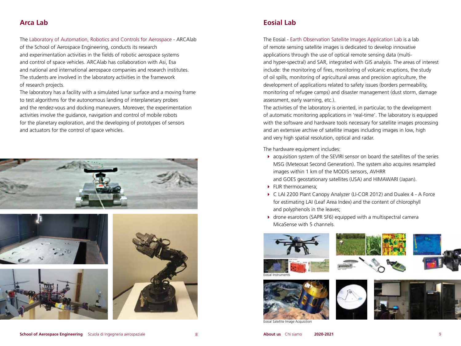## **Arca Lab**

The Laboratory of Automation, Robotics and Controls for Aerospace - ARCAlab

of the School of Aerospace Engineering, conducts its research and experimentation activities in the fields of robotic aerospace systems and control of space vehicles. ARCAlab has collaboration with Asi, Esa and national and international aerospace companies and research institutes. The students are involved in the laboratory activities in the framework of research projects.

The laboratory has a facility with a simulated lunar surface and a moving frame to test algorithms for the autonomous landing of interplanetary probes and the rendez-vous and docking maneuvers. Moreover, the experimentation activities involve the guidance, navigation and control of mobile robots for the planetary exploration, and the developing of prototypes of sensors and actuators for the control of space vehicles.









## **Eosial Lab**

The Eosial - Earth Observation Satellite Images Application Lab is a lab of remote sensing satellite images is dedicated to develop innovative applications through the use of optical remote sensing data (multiand hyper-spectral) and SAR, integrated with GIS analysis. The areas of interest include: the monitoring of fires, monitoring of volcanic eruptions, the study of oil spills, monitoring of agricultural areas and precision agriculture, the development of applications related to safety issues (borders permeability, monitoring of refugee camps) and disaster management (dust storm, damage assessment, early warning, etc.).

The activities of the laboratory is oriented, in particular, to the development of automatic monitoring applications in 'real-time'. The laboratory is equipped with the software and hardware tools necessary for satellite images processing and an extensive archive of satellite images including images in low, high and very high spatial resolution, optical and radar.

The hardware equipment includes:

- acquisition system of the SEVIRI sensor on board the satellites of the series MSG (Meteosat Second Generation). The system also acquires resampled images within 1 km of the MODIS sensors, AVHRR and GOES geostationary satellites (USA) and HIMAWARI (Japan).
- FLIR thermocamera;
- C LAI 2200 Plant Canopy Analyzer (LI-COR 2012) and Dualex 4 A Force for estimating LAI (Leaf Area Index) and the content of chlorophyll and polyphenols in the leaves;
- drone esarotors (SAPR SF6) equipped with a multispectral camera MicaSense with 5 channels.













Eosial Satellite Image Acquisition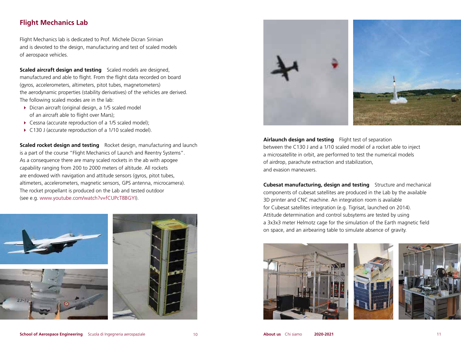## **Flight Mechanics Lab**

Flight Mechanics lab is dedicated to Prof. Michele Dicran Sirinian and is devoted to the design, manufacturing and test of scaled models of aerospace vehicles.

**Scaled aircraft design and testing** Scaled models are designed, manufactured and able to flight. From the flight data recorded on board (gyros, accelerometers, altimeters, pitot tubes, magnetometers) the aerodynamic properties (stability derivatives) of the vehicles are derived. The following scaled modes are in the lab:

- Dicran aircraft (original design, a 1/5 scaled model of an aircraft able to flight over Mars);
- ▶ Cessna (accurate reproduction of a 1/5 scaled model);
- ▶ C130 J (accurate reproduction of a 1/10 scaled model).

**Scaled rocket design and testing** Rocket design, manufacturing and launch is a part of the course "Flight Mechanics of Launch and Reentry Systems". As a consequence there are many scaled rockets in the ab with apogee capability ranging from 200 to 2000 meters of altitude. All rockets are endowed with navigation and attitude sensors (gyros, pitot tubes, altimeters, accelerometers, magnetic sensors, GPS antenna, microcamera). The rocket propellant is produced on the Lab and tested outdoor (see e.g. www.youtube.com/watch?v=fCUPcT8BGYI).





**Airlaunch design and testing** Flight test of separation between the C130 J and a 1/10 scaled model of a rocket able to inject a microsatellite in orbit, are performed to test the numerical models of airdrop, parachute extraction and stabilization, and evasion maneuvers.

**Cubesat manufacturing, design and testing** Structure and mechanical components of cubesat satellites are produced in the Lab by the available 3D printer and CNC machine. An integration room is available for Cubesat satellites integration (e.g. Tigrisat, launched on 2014). Attitude determination and control subsytems are tested by using a 3x3x3 meter Helmotz cage for the simulation of the Earth magnetic field on space, and an airbearing table to simulate absence of gravity.





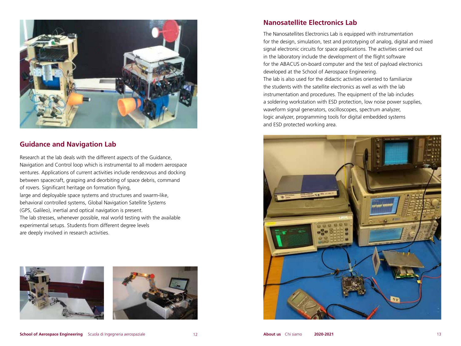

## **Guidance and Navigation Lab**

Research at the lab deals with the different aspects of the Guidance, Navigation and Control loop which is instrumental to all modern aerospace ventures. Applications of current activities include rendezvous and docking between spacecraft, grasping and deorbiting of space debris, command of rovers. Significant heritage on formation flying, large and deployable space systems and structures and swarm-like, behavioral controlled systems, Global Navigation Satellite Systems (GPS, Galileo), inertial and optical navigation is present. The lab stresses, whenever possible, real world testing with the available experimental setups. Students from different degree levels are deeply involved in research activities.





## **Nanosatellite Electronics Lab**

The Nanosatellites Electronics Lab is equipped with instrumentation for the design, simulation, test and prototyping of analog, digital and mixed signal electronic circuits for space applications. The activities carried out in the laboratory include the development of the flight software for the ABACUS on-board computer and the test of payload electronics developed at the School of Aerospace Engineering. The lab is also used for the didactic activities oriented to familiarize the students with the satellite electronics as well as with the lab instrumentation and procedures. The equipment of the lab includes a soldering workstation with ESD protection, low noise power supplies, waveform signal generators, oscilloscopes, spectrum analyzer, logic analyzer, programming tools for digital embedded systems and ESD protected working area.

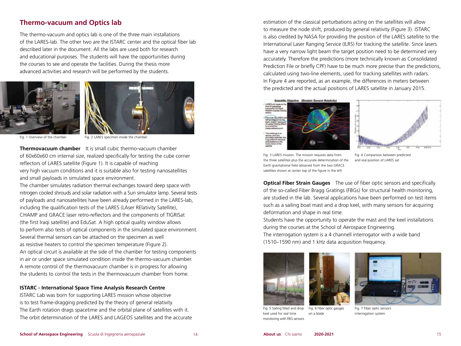### **Thermo-vacuum and Optics lab**

The thermo-vacuum and optics lab is one of the three main installations of the LARES-lab. The other two are the ISTARC center and the optical fiber lab described later in the document. All the labs are used both for research and educational purposes. The students will have the opportunities during the courses to see and operate the facilities. During the thesis more advanced activities and research will be performed by the students.





Fig. 1 Overview of the chamber Fig. 2 LARES specimen inside the chamber

**Thermovacuum chamber** It is small cubic thermo-vacuum chamber of 60x60x60 cm internal size, realized specifically for testing the cube corner reflectors of LARES satellite (Figure 1). It is capable of reaching very high vacuum conditions and it is suitable also for testing nanosatellites and small payloads in simulated space environment.

The chamber simulates radiation thermal exchanges toward deep space with nitrogen cooled shrouds and solar radiation with a Sun simulator lamp. Several tests of payloads and nanosatellites have been already performed in the LARES-lab, including the qualification tests of the LARES (LAser RElativity Satellite), CHAMP and GRACE laser retro-reflectors and the components of TIGRISat (the first Iraqi satellite) and EduSat. A high optical quality window allows to perform also tests of optical components in the simulated space environment. Several thermal sensors can be attached on the specimen as well as resistive heaters to control the specimen temperature (Figure 2). An optical circuit is available at the side of the chamber for testing components in air or under space simulated condition inside the thermo-vacuum chamber. A remote control of the thermovacuum chamber is in progress for allowing the students to control the tests in the thermovacuum chamber from home.

#### **ISTARC - International Space Time Analysis Research Centre**

ISTARC Lab was born for supporting LARES mission whose objective is to test frame-dragging predicted by the theory of general relativity. The Earth rotation drags spacetime and the orbital plane of satellites with it. The orbit determination of the LARES and LAGEOS satellites and the accurate

estimation of the classical perturbations acting on the satellites will allow to measure the node shift, produced by general relativity (Figure 3). ISTARC is also credited by NASA for providing the position of the LARES satellite to the International Laser Ranging Service (ILRS) for tracking the satellite. Since lasers have a very narrow light beam the target position need to be determined very accurately. Therefore the predictions (more technically known as Consolidated Prediction File or briefly CPF) have to be much more precise than the predictions, calculated using two-line elements, used for tracking satellites with radars. In Figure 4 are reported, as an example, the differences in meters between the predicted and the actual positions of LARES satellite in January 2015.





Fig. 3 LARES mission. The mission requires data from the three satellites plus the accurate determination of the Earth gravitational field obtained from the two GRACE satellites shown at center top of the figure in the left

Fig. 4 Comparison between predicted and real position of LARES sat

**Optical Fiber Strain Gauges** The use of fiber optic sensors and specifically of the so-called Fiber Bragg Gratings (FBGs) for structural health monitoring, are studied in the lab. Several applications have been performed on test items such as a sailing boat mast and a drop keel, with many sensors for acquiring deformation and shape in real time.

Students have the opportunity to operate the mast and the keel installations during the courses at the School of Aerospace Engineering.

The interrogation system is a 4 channell interrogator with a wide band (1510–1590 nm) and 1 kHz data acquisition frequency.







Fig. 5 Sailing Mast and drop keel used for real time monitoring with FBG sensors Fig. 6 Fiber optic gauges on a blade

Fig. 7 Fiber optic sensors interrogation system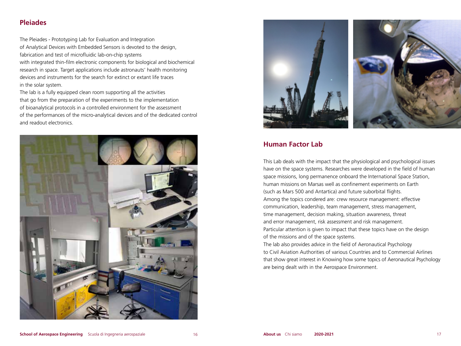## **Pleiades**

The Pleiades - Prototyping Lab for Evaluation and Integration of Analytical Devices with Embedded Sensors is devoted to the design, fabrication and test of microfluidic lab-on-chip systems with integrated thin-film electronic components for biological and biochemical research in space. Target applications include astronauts' health monitoring devices and instruments for the search for extinct or extant life traces in the solar system.

The lab is a fully equipped clean room supporting all the activities that go from the preparation of the experiments to the implementation of bioanalytical protocols in a controlled environment for the assessment of the performances of the micro-analytical devices and of the dedicated control and readout electronics.





### **Human Factor Lab**

This Lab deals with the impact that the physiological and psychological issues have on the space systems. Researches were developed in the field of human space missions, long permanence onboard the International Space Station, human missions on Marsas well as confinement experiments on Earth (such as Mars 500 and Antartica) and future suborbital flights. Among the topics condered are: crew resource management: effective communication, leadership, team management, stress management, time management, decision making, situation awareness, threat and error management, risk assessment and risk management. Particular attention is given to impact that these topics have on the design of the missions and of the space systems.

The lab also provides advice in the field of Aeronautical Psychology to Civil Aviation Authorities of various Countries and to Commercial Airlines that show great interest in Knowing how some topics of Aeronautical Psychology are being dealt with in the Aerospace Environment.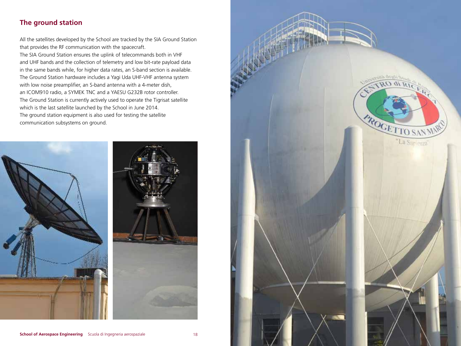# **The ground station**

All the satellites developed by the School are tracked by the SIA Ground Station that provides the RF communication with the spacecraft.

The SIA Ground Station ensures the uplink of telecommands both in VHF and UHF bands and the collection of telemetry and low bit-rate payload data in the same bands while, for higher data rates, an S-band section is available. The Ground Station hardware includes a Yagi Uda UHF-VHF antenna system with low noise preamplifier, an S-band antenna with a 4-meter dish, an ICOM910 radio, a SYMEK TNC and a YAESU G232B rotor controller. The Ground Station is currently actively used to operate the Tigrisat satellite which is the last satellite launched by the School in June 2014. The ground station equipment is also used for testing the satellite communication subsystems on ground.